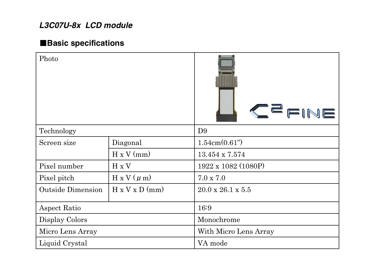# *L3C07U-8x LCD module*

# 䂓**Basic specifications**

| Photo                    |                            | CEFINE                        |
|--------------------------|----------------------------|-------------------------------|
| Technology               |                            | D <sub>9</sub>                |
| Screen size              | Diagonal                   | 1.54cm(0.61")                 |
|                          | $H \times V$ (mm)          | 13.454 x 7.574                |
| Pixel number             | H x V                      | 1922 x 1082 (1080P)           |
| Pixel pitch              | $H \times V$ ( $\mu$ m)    | $7.0 \times 7.0$              |
| <b>Outside Dimension</b> | $H \times V \times D$ (mm) | $20.0 \times 26.1 \times 5.5$ |
| Aspect Ratio             |                            | 16:9                          |
| Display Colors           |                            | Monochrome                    |
| Micro Lens Array         |                            | With Micro Lens Array         |
| Liquid Crystal           |                            | VA mode                       |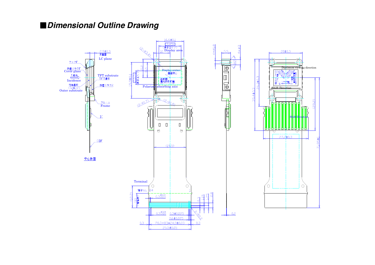## 䂓*Dimensional Outline Drawing*